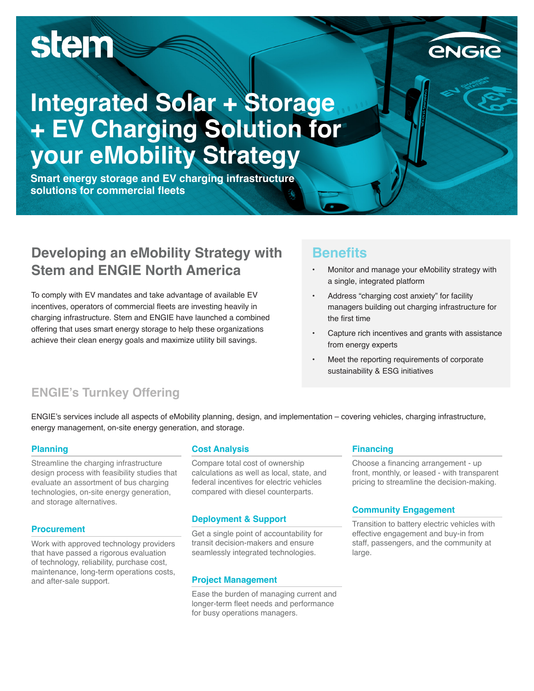# stem

## **Integrated Solar + Storage + EV Charging Solution for your eMobility Strategy**

**Smart energy storage and EV charging infrastructure solutions for commercial fleets**

## **Developing an eMobility Strategy with Stem and ENGIE North America**

To comply with EV mandates and take advantage of available EV incentives, operators of commercial fleets are investing heavily in charging infrastructure. Stem and ENGIE have launched a combined offering that uses smart energy storage to help these organizations achieve their clean energy goals and maximize utility bill savings.

### **Benefits**

- Monitor and manage your eMobility strategy with a single, integrated platform
- Address "charging cost anxiety" for facility managers building out charging infrastructure for the first time
- Capture rich incentives and grants with assistance from energy experts
- Meet the reporting requirements of corporate sustainability & ESG initiatives

## **ENGIE's Turnkey Offering**

ENGIE's services include all aspects of eMobility planning, design, and implementation – covering vehicles, charging infrastructure, energy management, on-site energy generation, and storage.

#### **Planning**

Streamline the charging infrastructure design process with feasibility studies that evaluate an assortment of bus charging technologies, on-site energy generation, and storage alternatives.

#### **Procurement**

Work with approved technology providers that have passed a rigorous evaluation of technology, reliability, purchase cost, maintenance, long-term operations costs, and after-sale support.

#### **Cost Analysis**

Compare total cost of ownership calculations as well as local, state, and federal incentives for electric vehicles compared with diesel counterparts.

#### **Deployment & Support**

Get a single point of accountability for transit decision-makers and ensure seamlessly integrated technologies.

#### **Project Management**

Ease the burden of managing current and longer-term fleet needs and performance for busy operations managers.

#### **Financing**

Choose a financing arrangement - up front, monthly, or leased - with transparent pricing to streamline the decision-making.

#### **Community Engagement**

Transition to battery electric vehicles with effective engagement and buy-in from staff, passengers, and the community at large.